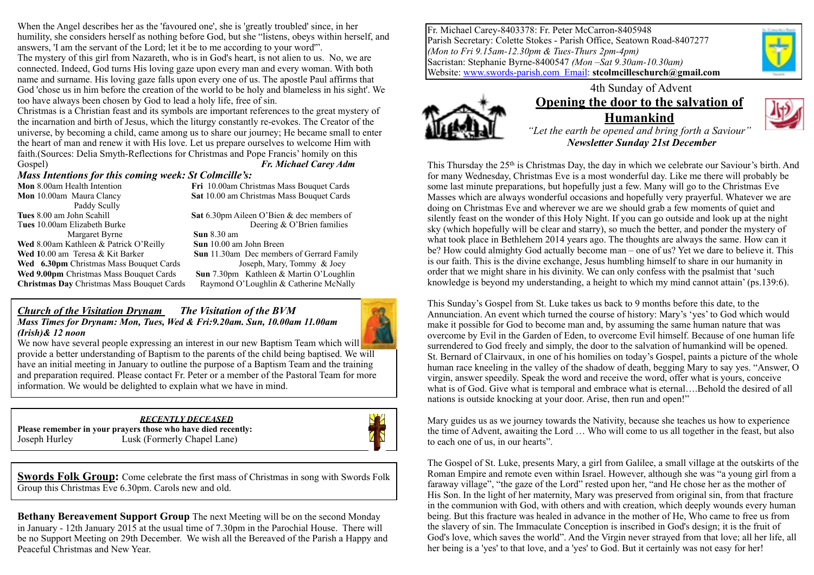When the Angel describes her as the 'favoured one', she is 'greatly troubled' since, in her humility, she considers herself as nothing before God, but she "listens, obeys within herself, and answers, 'I am the servant of the Lord; let it be to me according to your word'".

The mystery of this girl from Nazareth, who is in God's heart, is not alien to us. No, we are connected. Indeed, God turns His loving gaze upon every man and every woman. With both name and surname. His loving gaze falls upon every one of us. The apostle Paul affirms that God 'chose us in him before the creation of the world to be holy and blameless in his sight'. We too have always been chosen by God to lead a holy life, free of sin.

Christmas is a Christian feast and its symbols are important references to the great mystery of the incarnation and birth of Jesus, which the liturgy constantly re-evokes. The Creator of the universe, by becoming a child, came among us to share our journey; He became small to enter the heart of man and renew it with His love. Let us prepare ourselves to welcome Him with faith.(Sources: Delia Smyth-Reflections for Christmas and Pope Francis' homily on this Gospel) *Fr. Michael Carey Adm* 

#### *Mass Intentions for this coming week: St Colmcille's:*

**Mon** 8.00am Health Intention **Fri** 10.00am Christmas Mass Bouquet Cards **Mon** 10.00am Maura Clancy **Sat** 10.00 am Christmas Mass Bouquet Cards Paddy Scully **Tues** 8.00 am John Scahill **Sat 6.30pm Aileen O'Bien & dec members of** T**ues** 10.00am Elizabeth Burke Deering & O'Brien families **Margaret Byrne Sun** 8.30 am **Wed** 8.00 am Kathleen & Patrick O'Reilly **Sun** 10.00 am John Breen **Wed 1**0.00 amTeresa & Kit Barker **Sun** 11.30am Dec members of Gerrard Family **Wed 6.30pm** Christmas Mass Bouquet Cards **Joseph, Mary, Tommy & Joey Wed 9.00pm** Christmas Mass Bouquet Cards **Sun** 7.30pm Kathleen & Martin O'Loughlin **Christmas Day** Christmas Mass Bouquet Cards Raymond O'Loughlin & Catherine McNally

#### *Church of the Visitation Drynam**The Visitation of the BVM*

*Mass Times for Drynam: Mon, Tues, Wed & Fri:9.20am. Sun, 10.00am 11.00am (Irish)& 12 noon*



We now have several people expressing an interest in our new Baptism Team which will provide a better understanding of Baptism to the parents of the child being baptised. We will have an initial meeting in January to outline the purpose of a Baptism Team and the training and preparation required. Please contact Fr. Peter or a member of the Pastoral Team for more information. We would be delighted to explain what we have in mind.

## *RECENTLY DECEASED*

**Please remember in your prayers those who have died recently:**  Joseph Hurley Lusk (Formerly Chapel Lane)



**Swords Folk Group:** Come celebrate the first mass of Christmas in song with Swords Folk Group this Christmas Eve 6.30pm. Carols new and old.

**Bethany Bereavement Support Group** The next Meeting will be on the second Monday in January - 12th January 2015 at the usual time of 7.30pm in the Parochial House. There will be no Support Meeting on 29th December. We wish all the Bereaved of the Parish a Happy and Peaceful Christmas and New Year.

Fr. Michael Carey-8403378: Fr. Peter McCarron-8405948 Parish Secretary: Colette Stokes - Parish Office, Seatown Road-8407277 *(Mon to Fri 9.15am-12.30pm & Tues-Thurs 2pm-4pm)* Sacristan: Stephanie Byrne-8400547 *(Mon –Sat 9.30am-10.30am)*  Website: [www.swords-parish.com Email:](http://www.swords-parish.com%20%20email) **stcolmcilleschurch@gmail.com**



#### 4th Sunday of Advent **Opening the door to the salvation of Humankind**



*"Let the earth be opened and bring forth a Saviour" Newsletter Sunday 21st December* 

This Thursday the 25<sup>th</sup> is Christmas Day, the day in which we celebrate our Saviour's birth. And for many Wednesday, Christmas Eve is a most wonderful day. Like me there will probably be some last minute preparations, but hopefully just a few. Many will go to the Christmas Eve Masses which are always wonderful occasions and hopefully very prayerful. Whatever we are doing on Christmas Eve and wherever we are we should grab a few moments of quiet and silently feast on the wonder of this Holy Night. If you can go outside and look up at the night sky (which hopefully will be clear and starry), so much the better, and ponder the mystery of what took place in Bethlehem 2014 years ago. The thoughts are always the same. How can it be? How could almighty God actually become man – one of us? Yet we dare to believe it. This is our faith. This is the divine exchange, Jesus humbling himself to share in our humanity in order that we might share in his divinity. We can only confess with the psalmist that 'such knowledge is beyond my understanding, a height to which my mind cannot attain' (ps.139:6).

This Sunday's Gospel from St. Luke takes us back to 9 months before this date, to the Annunciation. An event which turned the course of history: Mary's 'yes' to God which would make it possible for God to become man and, by assuming the same human nature that was overcome by Evil in the Garden of Eden, to overcome Evil himself. Because of one human life surrendered to God freely and simply, the door to the salvation of humankind will be opened. St. Bernard of Clairvaux, in one of his homilies on today's Gospel, paints a picture of the whole human race kneeling in the valley of the shadow of death, begging Mary to say yes. "Answer, O virgin, answer speedily. Speak the word and receive the word, offer what is yours, conceive what is of God. Give what is temporal and embrace what is eternal….Behold the desired of all nations is outside knocking at your door. Arise, then run and open!"

Mary guides us as we journey towards the Nativity, because she teaches us how to experience the time of Advent, awaiting the Lord … Who will come to us all together in the feast, but also to each one of us, in our hearts".

The Gospel of St. Luke, presents Mary, a girl from Galilee, a small village at the outskirts of the Roman Empire and remote even within Israel. However, although she was "a young girl from a faraway village", "the gaze of the Lord" rested upon her, "and He chose her as the mother of His Son. In the light of her maternity, Mary was preserved from original sin, from that fracture in the communion with God, with others and with creation, which deeply wounds every human being. But this fracture was healed in advance in the mother of He, Who came to free us from the slavery of sin. The Immaculate Conception is inscribed in God's design; it is the fruit of God's love, which saves the world". And the Virgin never strayed from that love; all her life, all her being is a 'yes' to that love, and a 'yes' to God. But it certainly was not easy for her!